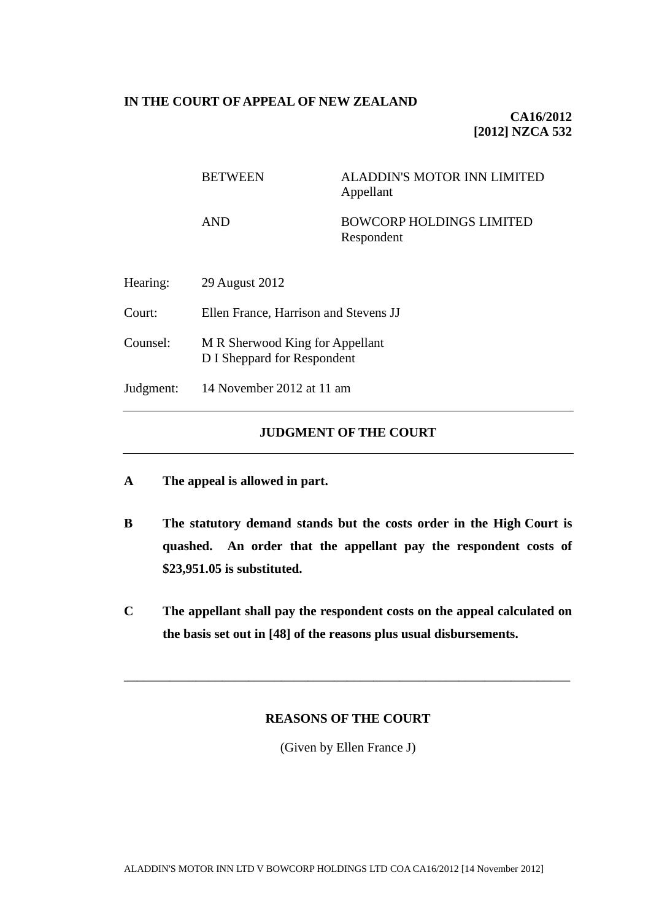## **IN THE COURT OF APPEAL OF NEW ZEALAND**

**CA16/2012 [2012] NZCA 532**

# BETWEEN ALADDIN'S MOTOR INN LIMITED Appellant AND BOWCORP HOLDINGS LIMITED Respondent Hearing: 29 August 2012 Court: Ellen France, Harrison and Stevens JJ

- Counsel: M R Sherwood King for Appellant D I Sheppard for Respondent
- Judgment: 14 November 2012 at 11 am

# **JUDGMENT OF THE COURT**

- **A The appeal is allowed in part.**
- **B The statutory demand stands but the costs order in the High Court is quashed. An order that the appellant pay the respondent costs of \$23,951.05 is substituted.**
- **C The appellant shall pay the respondent costs on the appeal calculated on the basis set out in [\[48\]](#page-10-0) of the reasons plus usual disbursements.**

# **REASONS OF THE COURT**

\_\_\_\_\_\_\_\_\_\_\_\_\_\_\_\_\_\_\_\_\_\_\_\_\_\_\_\_\_\_\_\_\_\_\_\_\_\_\_\_\_\_\_\_\_\_\_\_\_\_\_\_\_\_\_\_\_\_\_\_\_\_\_\_\_\_\_\_

(Given by Ellen France J)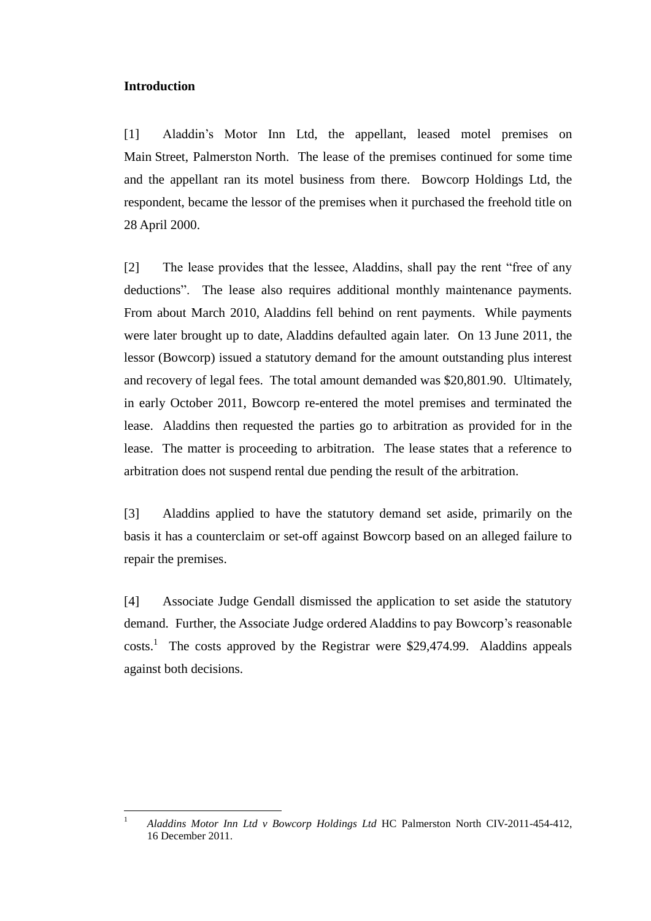#### **Introduction**

[1] Aladdin's Motor Inn Ltd, the appellant, leased motel premises on Main Street, Palmerston North. The lease of the premises continued for some time and the appellant ran its motel business from there. Bowcorp Holdings Ltd, the respondent, became the lessor of the premises when it purchased the freehold title on 28 April 2000.

[2] The lease provides that the lessee, Aladdins, shall pay the rent "free of any deductions". The lease also requires additional monthly maintenance payments. From about March 2010, Aladdins fell behind on rent payments. While payments were later brought up to date, Aladdins defaulted again later. On 13 June 2011, the lessor (Bowcorp) issued a statutory demand for the amount outstanding plus interest and recovery of legal fees. The total amount demanded was \$20,801.90. Ultimately, in early October 2011, Bowcorp re-entered the motel premises and terminated the lease. Aladdins then requested the parties go to arbitration as provided for in the lease. The matter is proceeding to arbitration. The lease states that a reference to arbitration does not suspend rental due pending the result of the arbitration.

[3] Aladdins applied to have the statutory demand set aside, primarily on the basis it has a counterclaim or set-off against Bowcorp based on an alleged failure to repair the premises.

[4] Associate Judge Gendall dismissed the application to set aside the statutory demand. Further, the Associate Judge ordered Aladdins to pay Bowcorp's reasonable  $costs<sup>1</sup>$  The costs approved by the Registrar were \$29,474.99. Aladdins appeals against both decisions.

 $\overline{1}$ <sup>1</sup> *Aladdins Motor Inn Ltd v Bowcorp Holdings Ltd* HC Palmerston North CIV-2011-454-412, 16 December 2011.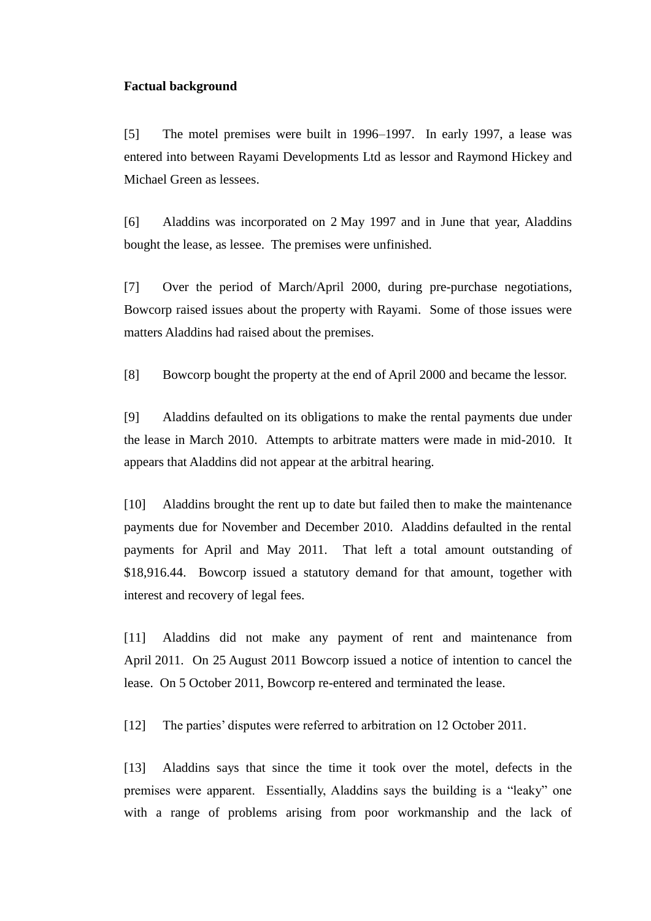#### **Factual background**

[5] The motel premises were built in 1996–1997. In early 1997, a lease was entered into between Rayami Developments Ltd as lessor and Raymond Hickey and Michael Green as lessees.

[6] Aladdins was incorporated on 2 May 1997 and in June that year, Aladdins bought the lease, as lessee. The premises were unfinished.

[7] Over the period of March/April 2000, during pre-purchase negotiations, Bowcorp raised issues about the property with Rayami. Some of those issues were matters Aladdins had raised about the premises.

[8] Bowcorp bought the property at the end of April 2000 and became the lessor.

[9] Aladdins defaulted on its obligations to make the rental payments due under the lease in March 2010. Attempts to arbitrate matters were made in mid-2010. It appears that Aladdins did not appear at the arbitral hearing.

[10] Aladdins brought the rent up to date but failed then to make the maintenance payments due for November and December 2010. Aladdins defaulted in the rental payments for April and May 2011. That left a total amount outstanding of \$18,916.44. Bowcorp issued a statutory demand for that amount, together with interest and recovery of legal fees.

[11] Aladdins did not make any payment of rent and maintenance from April 2011. On 25 August 2011 Bowcorp issued a notice of intention to cancel the lease. On 5 October 2011, Bowcorp re-entered and terminated the lease.

[12] The parties' disputes were referred to arbitration on 12 October 2011.

[13] Aladdins says that since the time it took over the motel, defects in the premises were apparent. Essentially, Aladdins says the building is a "leaky" one with a range of problems arising from poor workmanship and the lack of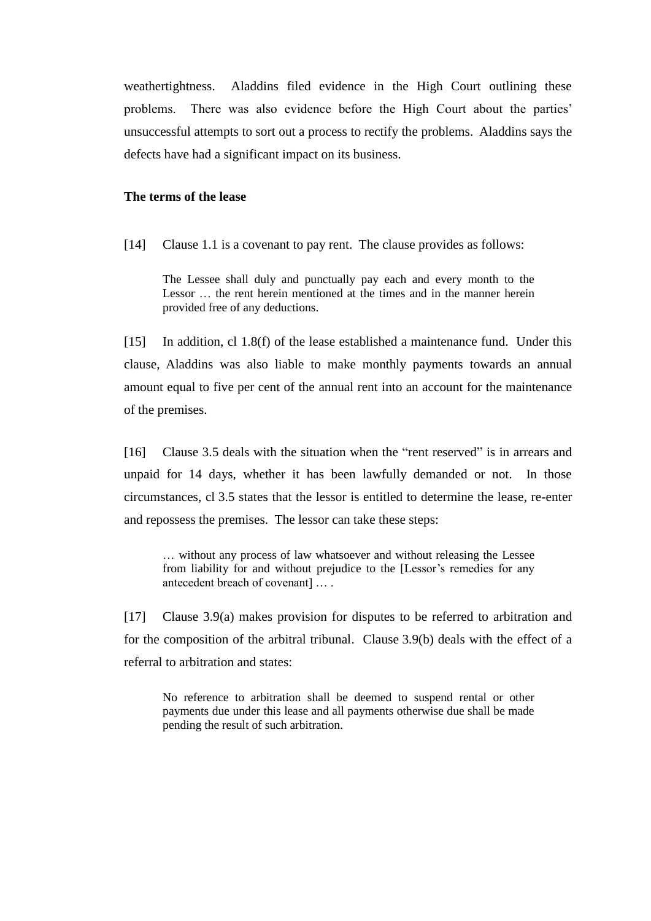weathertightness. Aladdins filed evidence in the High Court outlining these problems. There was also evidence before the High Court about the parties' unsuccessful attempts to sort out a process to rectify the problems. Aladdins says the defects have had a significant impact on its business.

#### **The terms of the lease**

[14] Clause 1.1 is a covenant to pay rent. The clause provides as follows:

The Lessee shall duly and punctually pay each and every month to the Lessor … the rent herein mentioned at the times and in the manner herein provided free of any deductions.

[15] In addition, cl 1.8(f) of the lease established a maintenance fund. Under this clause, Aladdins was also liable to make monthly payments towards an annual amount equal to five per cent of the annual rent into an account for the maintenance of the premises.

[16] Clause 3.5 deals with the situation when the "rent reserved" is in arrears and unpaid for 14 days, whether it has been lawfully demanded or not. In those circumstances, cl 3.5 states that the lessor is entitled to determine the lease, re-enter and repossess the premises. The lessor can take these steps:

… without any process of law whatsoever and without releasing the Lessee from liability for and without prejudice to the [Lessor's remedies for any antecedent breach of covenant] … .

[17] Clause 3.9(a) makes provision for disputes to be referred to arbitration and for the composition of the arbitral tribunal. Clause 3.9(b) deals with the effect of a referral to arbitration and states:

No reference to arbitration shall be deemed to suspend rental or other payments due under this lease and all payments otherwise due shall be made pending the result of such arbitration.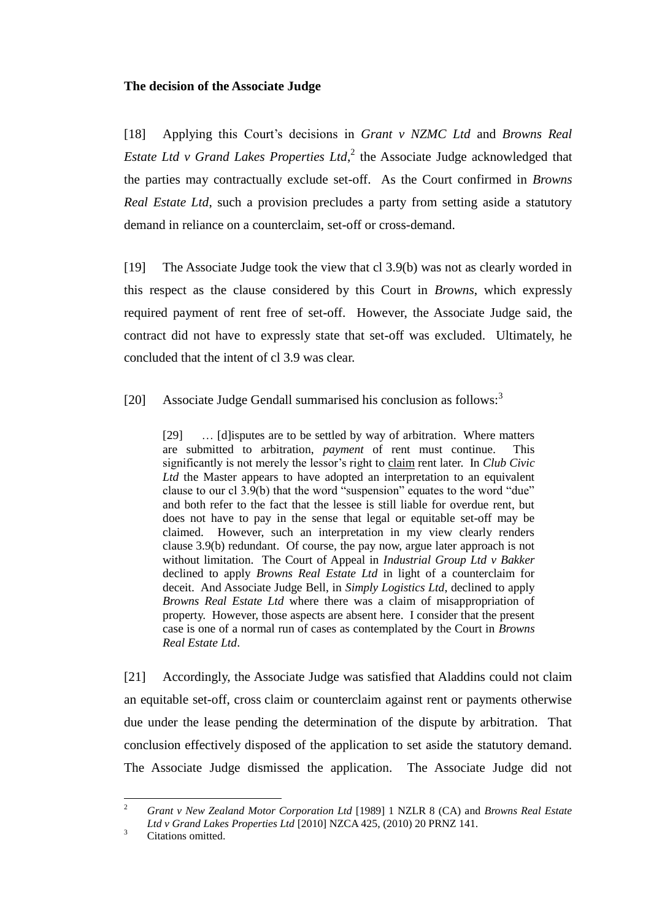## **The decision of the Associate Judge**

<span id="page-4-0"></span>[18] Applying this Court's decisions in *Grant v NZMC Ltd* and *Browns Real*  Estate Ltd v Grand Lakes Properties Ltd,<sup>2</sup> the Associate Judge acknowledged that the parties may contractually exclude set-off. As the Court confirmed in *Browns Real Estate Ltd*, such a provision precludes a party from setting aside a statutory demand in reliance on a counterclaim, set-off or cross-demand.

[19] The Associate Judge took the view that cl 3.9(b) was not as clearly worded in this respect as the clause considered by this Court in *Browns*, which expressly required payment of rent free of set-off. However, the Associate Judge said, the contract did not have to expressly state that set-off was excluded. Ultimately, he concluded that the intent of cl 3.9 was clear.

[20] Associate Judge Gendall summarised his conclusion as follows:<sup>3</sup>

[29] … [d]isputes are to be settled by way of arbitration. Where matters are submitted to arbitration, *payment* of rent must continue. This significantly is not merely the lessor's right to claim rent later. In *Club Civic Ltd* the Master appears to have adopted an interpretation to an equivalent clause to our cl  $3.9(b)$  that the word "suspension" equates to the word "due" and both refer to the fact that the lessee is still liable for overdue rent, but does not have to pay in the sense that legal or equitable set-off may be claimed. However, such an interpretation in my view clearly renders clause 3.9(b) redundant. Of course, the pay now, argue later approach is not without limitation. The Court of Appeal in *Industrial Group Ltd v Bakker* declined to apply *Browns Real Estate Ltd* in light of a counterclaim for deceit. And Associate Judge Bell, in *Simply Logistics Ltd*, declined to apply *Browns Real Estate Ltd* where there was a claim of misappropriation of property. However, those aspects are absent here. I consider that the present case is one of a normal run of cases as contemplated by the Court in *Browns Real Estate Ltd*.

[21] Accordingly, the Associate Judge was satisfied that Aladdins could not claim an equitable set-off, cross claim or counterclaim against rent or payments otherwise due under the lease pending the determination of the dispute by arbitration. That conclusion effectively disposed of the application to set aside the statutory demand. The Associate Judge dismissed the application. The Associate Judge did not

 $\sqrt{2}$ <sup>2</sup> *Grant v New Zealand Motor Corporation Ltd* [1989] 1 NZLR 8 (CA) and *Browns Real Estate Ltd v Grand Lakes Properties Ltd* [2010] NZCA 425, (2010) 20 PRNZ 141.

<sup>&</sup>lt;sup>3</sup> Citations omitted.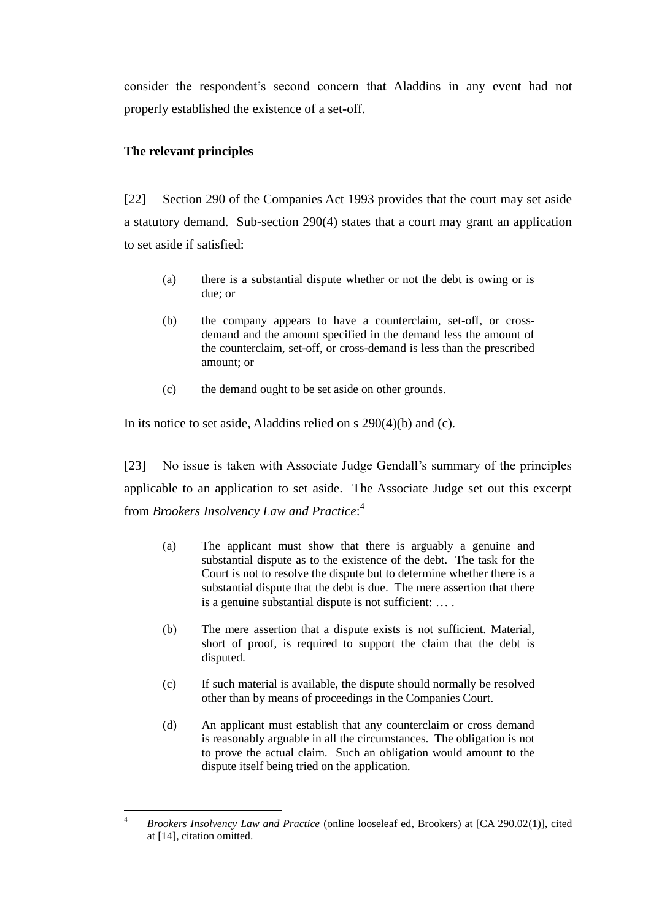consider the respondent's second concern that Aladdins in any event had not properly established the existence of a set-off.

# **The relevant principles**

[22] Section 290 of the Companies Act 1993 provides that the court may set aside a statutory demand. Sub-section 290(4) states that a court may grant an application to set aside if satisfied:

- (a) there is a substantial dispute whether or not the debt is owing or is due; or
- (b) the company appears to have a counterclaim, set-off, or crossdemand and the amount specified in the demand less the amount of the counterclaim, set-off, or cross-demand is less than the prescribed amount; or
- (c) the demand ought to be set aside on other grounds.

In its notice to set aside, Aladdins relied on s 290(4)(b) and (c).

[23] No issue is taken with Associate Judge Gendall's summary of the principles applicable to an application to set aside. The Associate Judge set out this excerpt from *Brookers Insolvency Law and Practice*: 4

- (a) The applicant must show that there is arguably a genuine and substantial dispute as to the existence of the debt. The task for the Court is not to resolve the dispute but to determine whether there is a substantial dispute that the debt is due. The mere assertion that there is a genuine substantial dispute is not sufficient: … .
- (b) The mere assertion that a dispute exists is not sufficient. Material, short of proof, is required to support the claim that the debt is disputed.
- (c) If such material is available, the dispute should normally be resolved other than by means of proceedings in the Companies Court.
- (d) An applicant must establish that any counterclaim or cross demand is reasonably arguable in all the circumstances. The obligation is not to prove the actual claim. Such an obligation would amount to the dispute itself being tried on the application.

 $\overline{4}$ <sup>4</sup> *Brookers Insolvency Law and Practice* (online looseleaf ed, Brookers) at [CA 290.02(1)], cited at [14], citation omitted.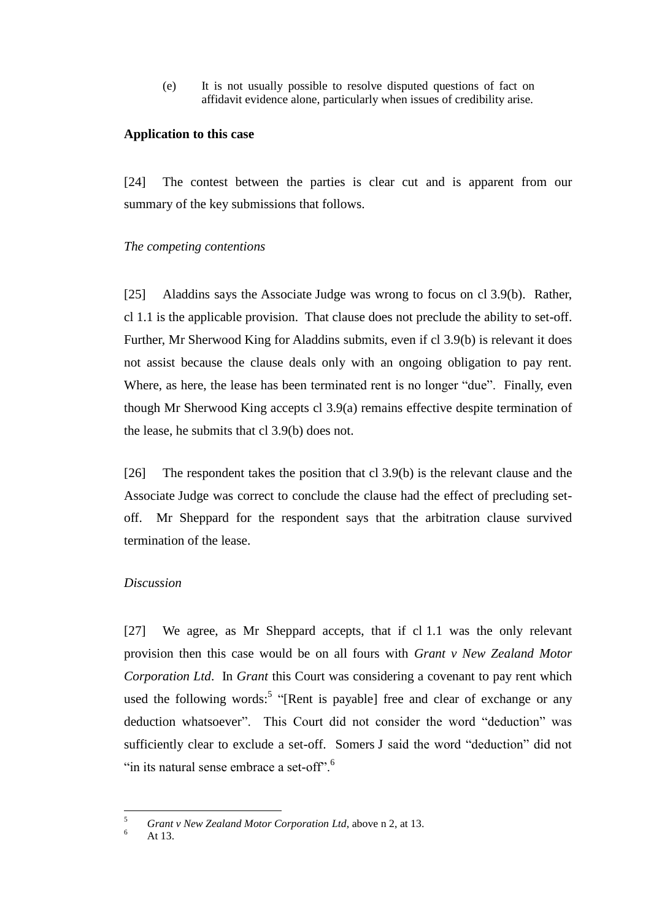(e) It is not usually possible to resolve disputed questions of fact on affidavit evidence alone, particularly when issues of credibility arise.

#### **Application to this case**

[24] The contest between the parties is clear cut and is apparent from our summary of the key submissions that follows.

#### *The competing contentions*

[25] Aladdins says the Associate Judge was wrong to focus on cl 3.9(b). Rather, cl 1.1 is the applicable provision. That clause does not preclude the ability to set-off. Further, Mr Sherwood King for Aladdins submits, even if cl 3.9(b) is relevant it does not assist because the clause deals only with an ongoing obligation to pay rent. Where, as here, the lease has been terminated rent is no longer "due". Finally, even though Mr Sherwood King accepts cl 3.9(a) remains effective despite termination of the lease, he submits that cl 3.9(b) does not.

[26] The respondent takes the position that cl 3.9(b) is the relevant clause and the Associate Judge was correct to conclude the clause had the effect of precluding setoff. Mr Sheppard for the respondent says that the arbitration clause survived termination of the lease.

#### *Discussion*

[27] We agree, as Mr Sheppard accepts, that if cl 1.1 was the only relevant provision then this case would be on all fours with *Grant v New Zealand Motor Corporation Ltd*. In *Grant* this Court was considering a covenant to pay rent which used the following words:<sup>5</sup> "[Rent is payable] free and clear of exchange or any deduction whatsoever". This Court did not consider the word "deduction" was sufficiently clear to exclude a set-off. Somers J said the word "deduction" did not "in its natural sense embrace a set-off".<sup>6</sup>

<sup>5</sup> <sup>5</sup> *Grant v New Zealand Motor Corporation Ltd*, above n [2,](#page-4-0) at 13.

At  $13.$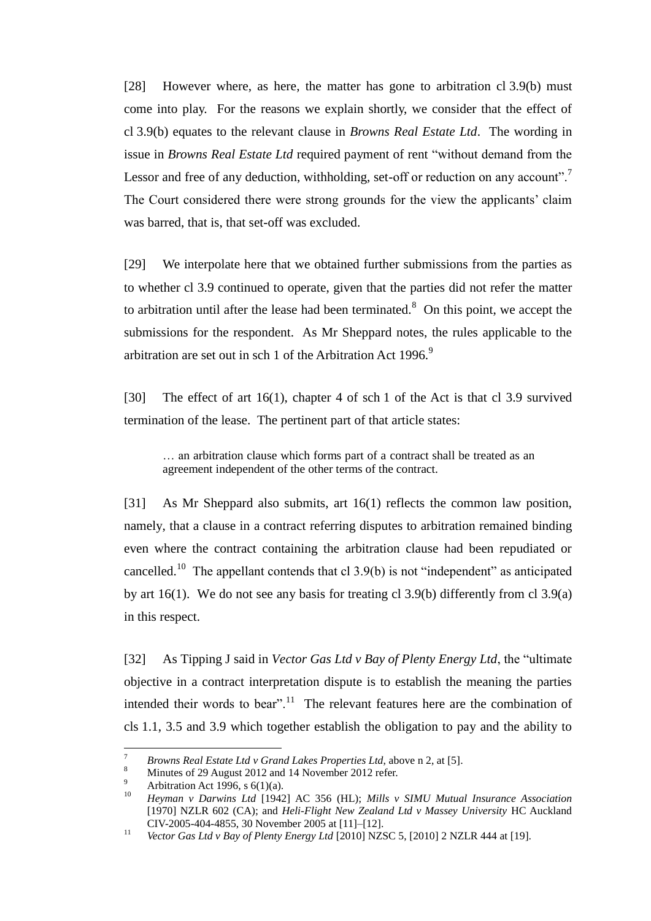[28] However where, as here, the matter has gone to arbitration cl 3.9(b) must come into play. For the reasons we explain shortly, we consider that the effect of cl 3.9(b) equates to the relevant clause in *Browns Real Estate Ltd*. The wording in issue in *Browns Real Estate Ltd* required payment of rent "without demand from the Lessor and free of any deduction, withholding, set-off or reduction on any account".<sup>7</sup> The Court considered there were strong grounds for the view the applicants' claim was barred, that is, that set-off was excluded.

[29] We interpolate here that we obtained further submissions from the parties as to whether cl 3.9 continued to operate, given that the parties did not refer the matter to arbitration until after the lease had been terminated.<sup>8</sup> On this point, we accept the submissions for the respondent. As Mr Sheppard notes, the rules applicable to the arbitration are set out in sch 1 of the Arbitration Act  $1996$ .<sup>9</sup>

[30] The effect of art 16(1), chapter 4 of sch 1 of the Act is that cl 3.9 survived termination of the lease. The pertinent part of that article states:

… an arbitration clause which forms part of a contract shall be treated as an agreement independent of the other terms of the contract.

[31] As Mr Sheppard also submits, art 16(1) reflects the common law position, namely, that a clause in a contract referring disputes to arbitration remained binding even where the contract containing the arbitration clause had been repudiated or cancelled.<sup>10</sup> The appellant contends that cl  $3.9(b)$  is not "independent" as anticipated by art 16(1). We do not see any basis for treating cl 3.9(b) differently from cl 3.9(a) in this respect.

[32] As Tipping J said in *Vector Gas Ltd v Bay of Plenty Energy Ltd*, the "ultimate objective in a contract interpretation dispute is to establish the meaning the parties intended their words to bear".<sup>11</sup> The relevant features here are the combination of cls 1.1, 3.5 and 3.9 which together establish the obligation to pay and the ability to

 $\overline{a}$ 

<sup>7</sup> *Browns Real Estate Ltd v Grand Lakes Properties Ltd*, above n [2,](#page-4-0) at [5].

Minutes of 29 August 2012 and 14 November 2012 refer.

<sup>&</sup>lt;sup>9</sup> Arbitration Act 1996, s 6(1)(a).

<sup>10</sup> *Heyman v Darwins Ltd* [1942] AC 356 (HL); *Mills v SIMU Mutual Insurance Association* [1970] NZLR 602 (CA); and *Heli-Flight New Zealand Ltd v Massey University* HC Auckland CIV-2005-404-4855, 30 November 2005 at [11]–[12].

<sup>11</sup> *Vector Gas Ltd v Bay of Plenty Energy Ltd* [2010] NZSC 5, [2010] 2 NZLR 444 at [19].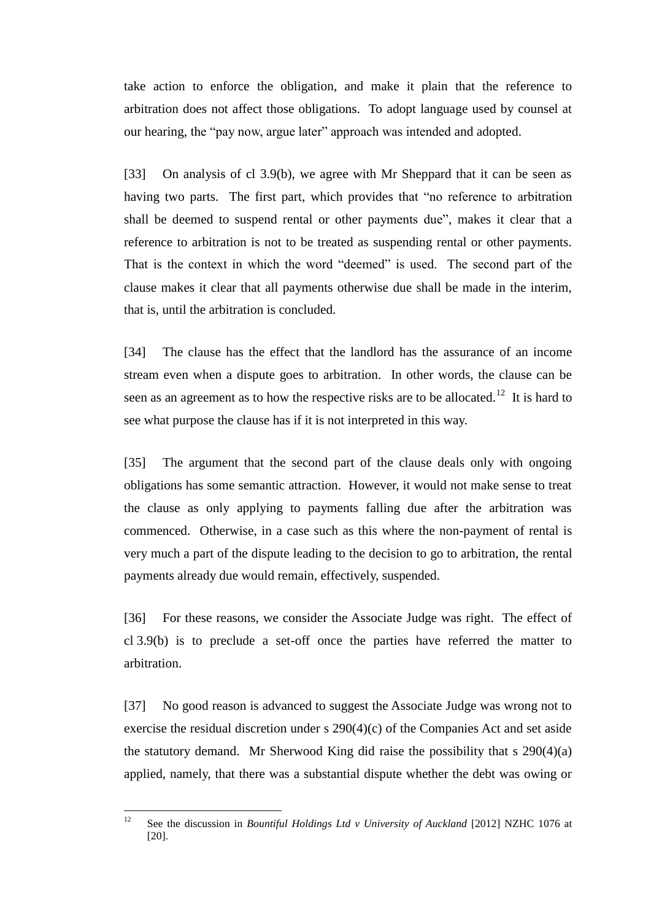take action to enforce the obligation, and make it plain that the reference to arbitration does not affect those obligations. To adopt language used by counsel at our hearing, the "pay now, argue later" approach was intended and adopted.

[33] On analysis of cl 3.9(b), we agree with Mr Sheppard that it can be seen as having two parts. The first part, which provides that "no reference to arbitration shall be deemed to suspend rental or other payments due", makes it clear that a reference to arbitration is not to be treated as suspending rental or other payments. That is the context in which the word "deemed" is used. The second part of the clause makes it clear that all payments otherwise due shall be made in the interim, that is, until the arbitration is concluded.

[34] The clause has the effect that the landlord has the assurance of an income stream even when a dispute goes to arbitration. In other words, the clause can be seen as an agreement as to how the respective risks are to be allocated.<sup>12</sup> It is hard to see what purpose the clause has if it is not interpreted in this way.

[35] The argument that the second part of the clause deals only with ongoing obligations has some semantic attraction. However, it would not make sense to treat the clause as only applying to payments falling due after the arbitration was commenced. Otherwise, in a case such as this where the non-payment of rental is very much a part of the dispute leading to the decision to go to arbitration, the rental payments already due would remain, effectively, suspended.

[36] For these reasons, we consider the Associate Judge was right. The effect of cl 3.9(b) is to preclude a set-off once the parties have referred the matter to arbitration.

[37] No good reason is advanced to suggest the Associate Judge was wrong not to exercise the residual discretion under s 290(4)(c) of the Companies Act and set aside the statutory demand. Mr Sherwood King did raise the possibility that s 290(4)(a) applied, namely, that there was a substantial dispute whether the debt was owing or

 $12$ <sup>12</sup> See the discussion in *Bountiful Holdings Ltd v University of Auckland* [2012] NZHC 1076 at [20].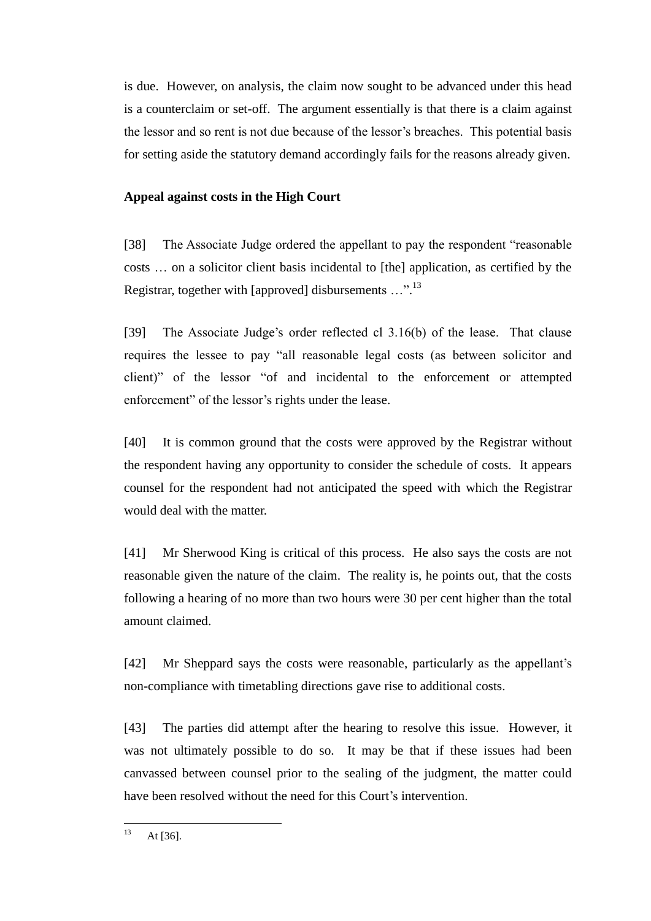is due. However, on analysis, the claim now sought to be advanced under this head is a counterclaim or set-off. The argument essentially is that there is a claim against the lessor and so rent is not due because of the lessor's breaches. This potential basis for setting aside the statutory demand accordingly fails for the reasons already given.

## **Appeal against costs in the High Court**

[38] The Associate Judge ordered the appellant to pay the respondent "reasonable costs … on a solicitor client basis incidental to [the] application, as certified by the Registrar, together with [approved] disbursements ...".<sup>13</sup>

[39] The Associate Judge's order reflected cl 3.16(b) of the lease. That clause requires the lessee to pay "all reasonable legal costs (as between solicitor and client)" of the lessor "of and incidental to the enforcement or attempted enforcement" of the lessor's rights under the lease.

[40] It is common ground that the costs were approved by the Registrar without the respondent having any opportunity to consider the schedule of costs. It appears counsel for the respondent had not anticipated the speed with which the Registrar would deal with the matter.

[41] Mr Sherwood King is critical of this process. He also says the costs are not reasonable given the nature of the claim. The reality is, he points out, that the costs following a hearing of no more than two hours were 30 per cent higher than the total amount claimed.

[42] Mr Sheppard says the costs were reasonable, particularly as the appellant's non-compliance with timetabling directions gave rise to additional costs.

[43] The parties did attempt after the hearing to resolve this issue. However, it was not ultimately possible to do so. It may be that if these issues had been canvassed between counsel prior to the sealing of the judgment, the matter could have been resolved without the need for this Court's intervention.

 $13$ At  $[36]$ .